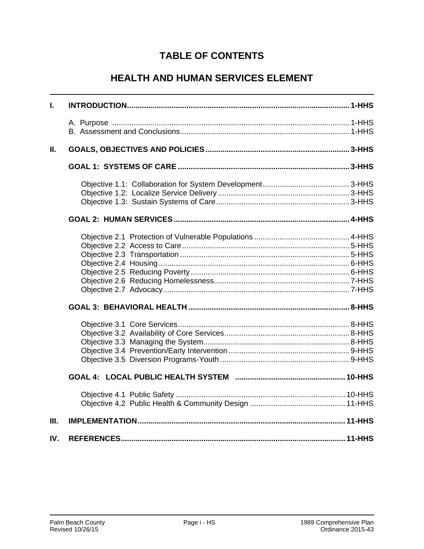# **TABLE OF CONTENTS**

# **HEALTH AND HUMAN SERVICES ELEMENT**

| L.   |  |
|------|--|
|      |  |
|      |  |
| П.   |  |
|      |  |
|      |  |
|      |  |
|      |  |
|      |  |
|      |  |
|      |  |
|      |  |
|      |  |
|      |  |
|      |  |
|      |  |
|      |  |
|      |  |
|      |  |
|      |  |
|      |  |
|      |  |
|      |  |
|      |  |
|      |  |
| III. |  |
| IV.  |  |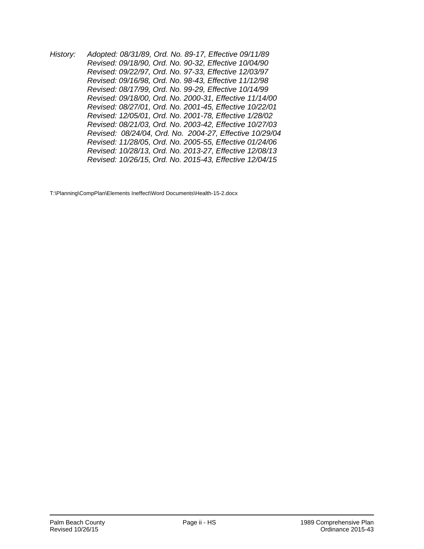*History: Adopted: 08/31/89, Ord. No. 89-17, Effective 09/11/89 Revised: 09/18/90, Ord. No. 90-32, Effective 10/04/90 Revised: 09/22/97, Ord. No. 97-33, Effective 12/03/97 Revised: 09/16/98, Ord. No. 98-43, Effective 11/12/98 Revised: 08/17/99, Ord. No. 99-29, Effective 10/14/99 Revised: 09/18/00, Ord. No. 2000-31, Effective 11/14/00 Revised: 08/27/01, Ord. No. 2001-45, Effective 10/22/01 Revised: 12/05/01, Ord. No. 2001-78, Effective 1/28/02 Revised: 08/21/03, Ord. No. 2003-42, Effective 10/27/03 Revised: 08/24/04, Ord. No. 2004-27, Effective 10/29/04 Revised: 11/28/05, Ord. No. 2005-55, Effective 01/24/06 Revised: 10/28/13, Ord. No. 2013-27, Effective 12/08/13 Revised: 10/26/15, Ord. No. 2015-43, Effective 12/04/15* 

T:\Planning\CompPlan\Elements Ineffect\Word Documents\Health-15-2.docx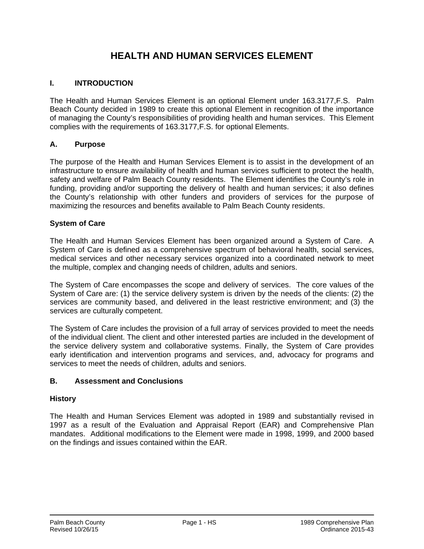# **HEALTH AND HUMAN SERVICES ELEMENT**

# **I. INTRODUCTION**

The Health and Human Services Element is an optional Element under 163.3177,F.S. Palm Beach County decided in 1989 to create this optional Element in recognition of the importance of managing the County's responsibilities of providing health and human services. This Element complies with the requirements of 163.3177,F.S. for optional Elements.

# **A. Purpose**

The purpose of the Health and Human Services Element is to assist in the development of an infrastructure to ensure availability of health and human services sufficient to protect the health, safety and welfare of Palm Beach County residents. The Element identifies the County's role in funding, providing and/or supporting the delivery of health and human services; it also defines the County's relationship with other funders and providers of services for the purpose of maximizing the resources and benefits available to Palm Beach County residents.

# **System of Care**

The Health and Human Services Element has been organized around a System of Care. A System of Care is defined as a comprehensive spectrum of behavioral health, social services, medical services and other necessary services organized into a coordinated network to meet the multiple, complex and changing needs of children, adults and seniors.

The System of Care encompasses the scope and delivery of services. The core values of the System of Care are: (1) the service delivery system is driven by the needs of the clients: (2) the services are community based, and delivered in the least restrictive environment; and (3) the services are culturally competent.

The System of Care includes the provision of a full array of services provided to meet the needs of the individual client. The client and other interested parties are included in the development of the service delivery system and collaborative systems. Finally, the System of Care provides early identification and intervention programs and services, and, advocacy for programs and services to meet the needs of children, adults and seniors.

# **B. Assessment and Conclusions**

# **History**

The Health and Human Services Element was adopted in 1989 and substantially revised in 1997 as a result of the Evaluation and Appraisal Report (EAR) and Comprehensive Plan mandates. Additional modifications to the Element were made in 1998, 1999, and 2000 based on the findings and issues contained within the EAR.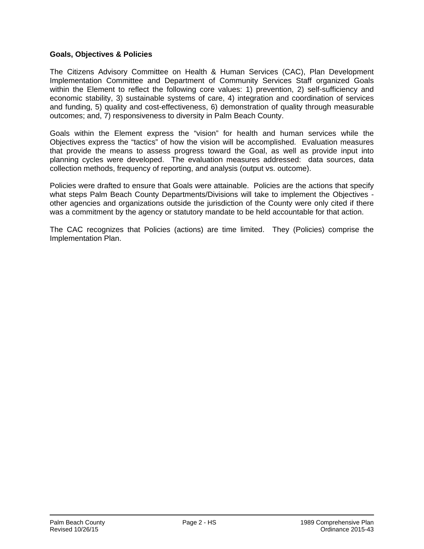# **Goals, Objectives & Policies**

The Citizens Advisory Committee on Health & Human Services (CAC), Plan Development Implementation Committee and Department of Community Services Staff organized Goals within the Element to reflect the following core values: 1) prevention, 2) self-sufficiency and economic stability, 3) sustainable systems of care, 4) integration and coordination of services and funding, 5) quality and cost-effectiveness, 6) demonstration of quality through measurable outcomes; and, 7) responsiveness to diversity in Palm Beach County.

Goals within the Element express the "vision" for health and human services while the Objectives express the "tactics" of how the vision will be accomplished. Evaluation measures that provide the means to assess progress toward the Goal, as well as provide input into planning cycles were developed. The evaluation measures addressed: data sources, data collection methods, frequency of reporting, and analysis (output vs. outcome).

Policies were drafted to ensure that Goals were attainable. Policies are the actions that specify what steps Palm Beach County Departments/Divisions will take to implement the Objectives other agencies and organizations outside the jurisdiction of the County were only cited if there was a commitment by the agency or statutory mandate to be held accountable for that action.

The CAC recognizes that Policies (actions) are time limited. They (Policies) comprise the Implementation Plan.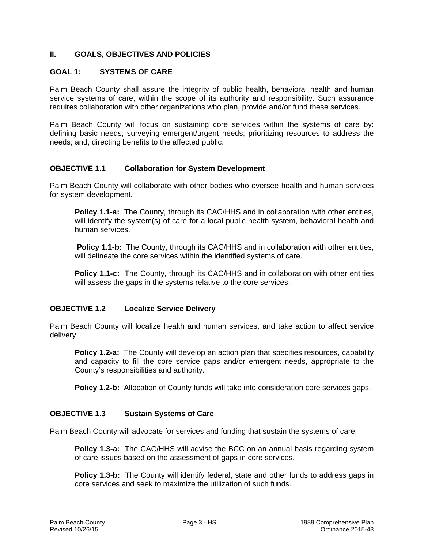# **II. GOALS, OBJECTIVES AND POLICIES**

# **GOAL 1: SYSTEMS OF CARE**

Palm Beach County shall assure the integrity of public health, behavioral health and human service systems of care, within the scope of its authority and responsibility. Such assurance requires collaboration with other organizations who plan, provide and/or fund these services.

Palm Beach County will focus on sustaining core services within the systems of care by: defining basic needs; surveying emergent/urgent needs; prioritizing resources to address the needs; and, directing benefits to the affected public.

#### **OBJECTIVE 1.1 Collaboration for System Development**

Palm Beach County will collaborate with other bodies who oversee health and human services for system development.

**Policy 1.1-a:** The County, through its CAC/HHS and in collaboration with other entities, will identify the system(s) of care for a local public health system, behavioral health and human services.

**Policy 1.1-b:** The County, through its CAC/HHS and in collaboration with other entities, will delineate the core services within the identified systems of care.

**Policy 1.1-c:** The County, through its CAC/HHS and in collaboration with other entities will assess the gaps in the systems relative to the core services.

#### **OBJECTIVE 1.2 Localize Service Delivery**

Palm Beach County will localize health and human services, and take action to affect service delivery.

**Policy 1.2-a:** The County will develop an action plan that specifies resources, capability and capacity to fill the core service gaps and/or emergent needs, appropriate to the County's responsibilities and authority.

**Policy 1.2-b:** Allocation of County funds will take into consideration core services gaps.

#### **OBJECTIVE 1.3 Sustain Systems of Care**

Palm Beach County will advocate for services and funding that sustain the systems of care.

**Policy 1.3-a:** The CAC/HHS will advise the BCC on an annual basis regarding system of care issues based on the assessment of gaps in core services.

**Policy 1.3-b:** The County will identify federal, state and other funds to address gaps in core services and seek to maximize the utilization of such funds.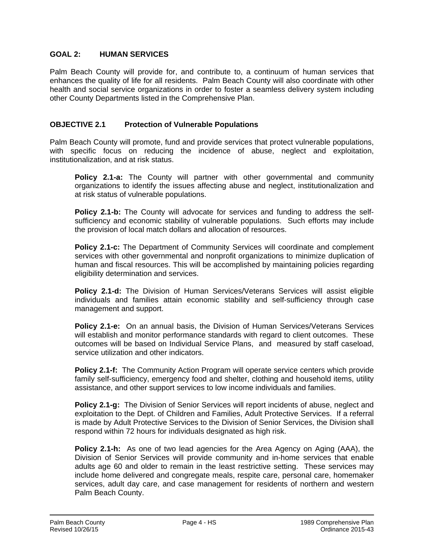# **GOAL 2: HUMAN SERVICES**

Palm Beach County will provide for, and contribute to, a continuum of human services that enhances the quality of life for all residents. Palm Beach County will also coordinate with other health and social service organizations in order to foster a seamless delivery system including other County Departments listed in the Comprehensive Plan.

#### **OBJECTIVE 2.1 Protection of Vulnerable Populations**

Palm Beach County will promote, fund and provide services that protect vulnerable populations, with specific focus on reducing the incidence of abuse, neglect and exploitation, institutionalization, and at risk status.

**Policy 2.1-a:** The County will partner with other governmental and community organizations to identify the issues affecting abuse and neglect, institutionalization and at risk status of vulnerable populations.

**Policy 2.1-b:** The County will advocate for services and funding to address the selfsufficiency and economic stability of vulnerable populations. Such efforts may include the provision of local match dollars and allocation of resources.

**Policy 2.1-c:** The Department of Community Services will coordinate and complement services with other governmental and nonprofit organizations to minimize duplication of human and fiscal resources. This will be accomplished by maintaining policies regarding eligibility determination and services.

**Policy 2.1-d:** The Division of Human Services/Veterans Services will assist eligible individuals and families attain economic stability and self-sufficiency through case management and support.

**Policy 2.1-e:** On an annual basis, the Division of Human Services/Veterans Services will establish and monitor performance standards with regard to client outcomes. These outcomes will be based on Individual Service Plans, and measured by staff caseload, service utilization and other indicators.

**Policy 2.1-f:** The Community Action Program will operate service centers which provide family self-sufficiency, emergency food and shelter, clothing and household items, utility assistance, and other support services to low income individuals and families.

**Policy 2.1-g:** The Division of Senior Services will report incidents of abuse, neglect and exploitation to the Dept. of Children and Families, Adult Protective Services. If a referral is made by Adult Protective Services to the Division of Senior Services, the Division shall respond within 72 hours for individuals designated as high risk.

**Policy 2.1-h:** As one of two lead agencies for the Area Agency on Aging (AAA), the Division of Senior Services will provide community and in-home services that enable adults age 60 and older to remain in the least restrictive setting. These services may include home delivered and congregate meals, respite care, personal care, homemaker services, adult day care, and case management for residents of northern and western Palm Beach County.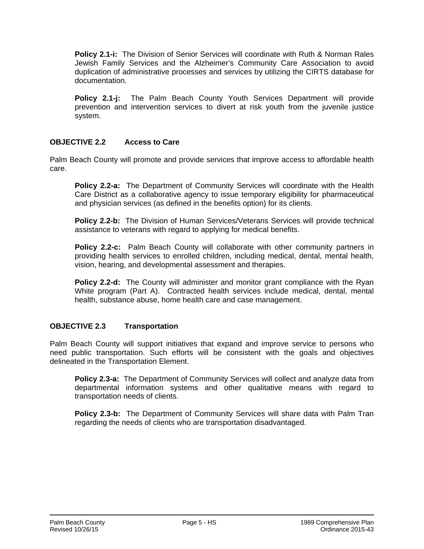**Policy 2.1-i:** The Division of Senior Services will coordinate with Ruth & Norman Rales Jewish Family Services and the Alzheimer's Community Care Association to avoid duplication of administrative processes and services by utilizing the CIRTS database for documentation.

**Policy 2.1-j:** The Palm Beach County Youth Services Department will provide prevention and intervention services to divert at risk youth from the juvenile justice system.

# **OBJECTIVE 2.2 Access to Care**

Palm Beach County will promote and provide services that improve access to affordable health care.

**Policy 2.2-a:** The Department of Community Services will coordinate with the Health Care District as a collaborative agency to issue temporary eligibility for pharmaceutical and physician services (as defined in the benefits option) for its clients.

**Policy 2.2-b:** The Division of Human Services/Veterans Services will provide technical assistance to veterans with regard to applying for medical benefits.

**Policy 2.2-c:** Palm Beach County will collaborate with other community partners in providing health services to enrolled children, including medical, dental, mental health, vision, hearing, and developmental assessment and therapies.

**Policy 2.2-d:** The County will administer and monitor grant compliance with the Ryan White program (Part A). Contracted health services include medical, dental, mental health, substance abuse, home health care and case management.

# **OBJECTIVE 2.3 Transportation**

Palm Beach County will support initiatives that expand and improve service to persons who need public transportation. Such efforts will be consistent with the goals and objectives delineated in the Transportation Element.

**Policy 2.3-a:** The Department of Community Services will collect and analyze data from departmental information systems and other qualitative means with regard to transportation needs of clients.

**Policy 2.3-b:** The Department of Community Services will share data with Palm Tran regarding the needs of clients who are transportation disadvantaged.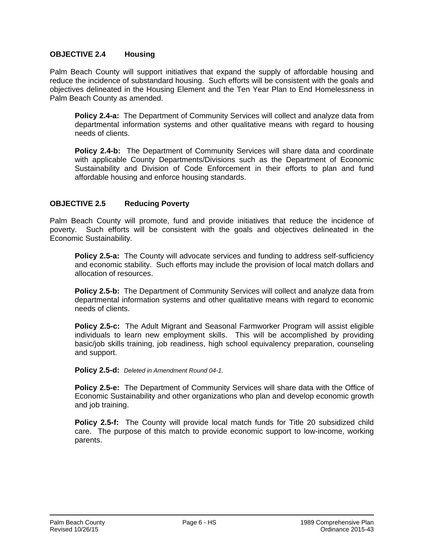#### **OBJECTIVE 2.4 Housing**

Palm Beach County will support initiatives that expand the supply of affordable housing and reduce the incidence of substandard housing. Such efforts will be consistent with the goals and objectives delineated in the Housing Element and the Ten Year Plan to End Homelessness in Palm Beach County as amended.

**Policy 2.4-a:** The Department of Community Services will collect and analyze data from departmental information systems and other qualitative means with regard to housing needs of clients.

**Policy 2.4-b:** The Department of Community Services will share data and coordinate with applicable County Departments/Divisions such as the Department of Economic Sustainability and Division of Code Enforcement in their efforts to plan and fund affordable housing and enforce housing standards.

#### **OBJECTIVE 2.5 Reducing Poverty**

Palm Beach County will promote, fund and provide initiatives that reduce the incidence of poverty. Such efforts will be consistent with the goals and objectives delineated in the Economic Sustainability.

**Policy 2.5-a:** The County will advocate services and funding to address self-sufficiency and economic stability. Such efforts may include the provision of local match dollars and allocation of resources.

**Policy 2.5-b:** The Department of Community Services will collect and analyze data from departmental information systems and other qualitative means with regard to economic needs of clients.

**Policy 2.5-c:** The Adult Migrant and Seasonal Farmworker Program will assist eligible individuals to learn new employment skills. This will be accomplished by providing basic/job skills training, job readiness, high school equivalency preparation, counseling and support.

**Policy 2.5-d:** *Deleted in Amendment Round 04-1.* 

**Policy 2.5-e:** The Department of Community Services will share data with the Office of Economic Sustainability and other organizations who plan and develop economic growth and job training.

**Policy 2.5-f:** The County will provide local match funds for Title 20 subsidized child care. The purpose of this match to provide economic support to low-income, working parents.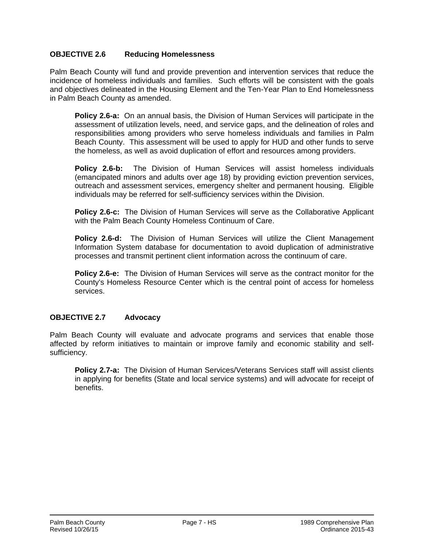# **OBJECTIVE 2.6 Reducing Homelessness**

Palm Beach County will fund and provide prevention and intervention services that reduce the incidence of homeless individuals and families. Such efforts will be consistent with the goals and objectives delineated in the Housing Element and the Ten-Year Plan to End Homelessness in Palm Beach County as amended.

**Policy 2.6-a:** On an annual basis, the Division of Human Services will participate in the assessment of utilization levels, need, and service gaps, and the delineation of roles and responsibilities among providers who serve homeless individuals and families in Palm Beach County. This assessment will be used to apply for HUD and other funds to serve the homeless, as well as avoid duplication of effort and resources among providers.

**Policy 2.6-b:** The Division of Human Services will assist homeless individuals (emancipated minors and adults over age 18) by providing eviction prevention services, outreach and assessment services, emergency shelter and permanent housing. Eligible individuals may be referred for self-sufficiency services within the Division.

**Policy 2.6-c:** The Division of Human Services will serve as the Collaborative Applicant with the Palm Beach County Homeless Continuum of Care.

**Policy 2.6-d:** The Division of Human Services will utilize the Client Management Information System database for documentation to avoid duplication of administrative processes and transmit pertinent client information across the continuum of care.

**Policy 2.6-e:** The Division of Human Services will serve as the contract monitor for the County's Homeless Resource Center which is the central point of access for homeless services.

# **OBJECTIVE 2.7 Advocacy**

Palm Beach County will evaluate and advocate programs and services that enable those affected by reform initiatives to maintain or improve family and economic stability and selfsufficiency.

**Policy 2.7-a:** The Division of Human Services/Veterans Services staff will assist clients in applying for benefits (State and local service systems) and will advocate for receipt of benefits.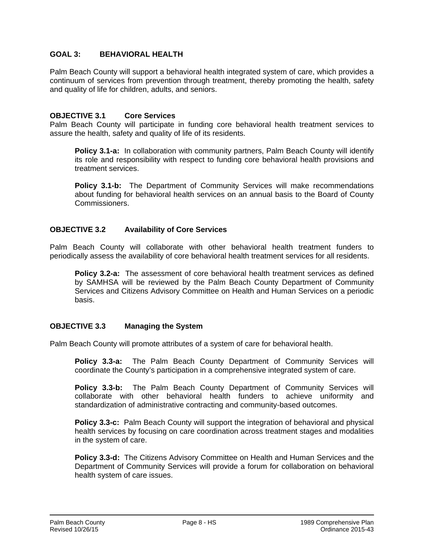# **GOAL 3: BEHAVIORAL HEALTH**

Palm Beach County will support a behavioral health integrated system of care, which provides a continuum of services from prevention through treatment, thereby promoting the health, safety and quality of life for children, adults, and seniors.

#### **OBJECTIVE 3.1 Core Services**

Palm Beach County will participate in funding core behavioral health treatment services to assure the health, safety and quality of life of its residents.

**Policy 3.1-a:** In collaboration with community partners, Palm Beach County will identify its role and responsibility with respect to funding core behavioral health provisions and treatment services.

**Policy 3.1-b:** The Department of Community Services will make recommendations about funding for behavioral health services on an annual basis to the Board of County Commissioners.

#### **OBJECTIVE 3.2 Availability of Core Services**

Palm Beach County will collaborate with other behavioral health treatment funders to periodically assess the availability of core behavioral health treatment services for all residents.

**Policy 3.2-a:** The assessment of core behavioral health treatment services as defined by SAMHSA will be reviewed by the Palm Beach County Department of Community Services and Citizens Advisory Committee on Health and Human Services on a periodic basis.

#### **OBJECTIVE 3.3 Managing the System**

Palm Beach County will promote attributes of a system of care for behavioral health.

**Policy 3.3-a:** The Palm Beach County Department of Community Services will coordinate the County's participation in a comprehensive integrated system of care.

**Policy 3.3-b:** The Palm Beach County Department of Community Services will collaborate with other behavioral health funders to achieve uniformity and standardization of administrative contracting and community-based outcomes.

**Policy 3.3-c:** Palm Beach County will support the integration of behavioral and physical health services by focusing on care coordination across treatment stages and modalities in the system of care.

**Policy 3.3-d:** The Citizens Advisory Committee on Health and Human Services and the Department of Community Services will provide a forum for collaboration on behavioral health system of care issues.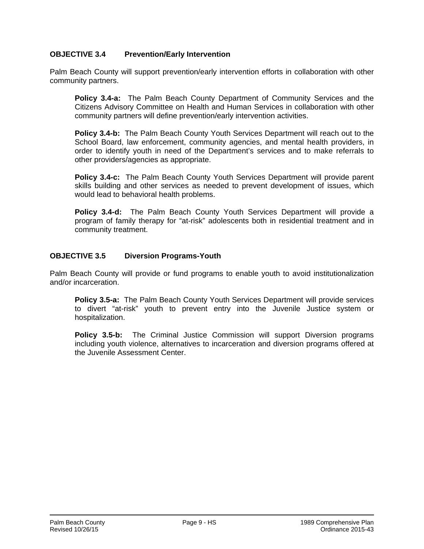# **OBJECTIVE 3.4 Prevention/Early Intervention**

Palm Beach County will support prevention/early intervention efforts in collaboration with other community partners.

**Policy 3.4-a:** The Palm Beach County Department of Community Services and the Citizens Advisory Committee on Health and Human Services in collaboration with other community partners will define prevention/early intervention activities.

**Policy 3.4-b:** The Palm Beach County Youth Services Department will reach out to the School Board, law enforcement, community agencies, and mental health providers, in order to identify youth in need of the Department's services and to make referrals to other providers/agencies as appropriate.

**Policy 3.4-c:** The Palm Beach County Youth Services Department will provide parent skills building and other services as needed to prevent development of issues, which would lead to behavioral health problems.

**Policy 3.4-d:** The Palm Beach County Youth Services Department will provide a program of family therapy for "at-risk" adolescents both in residential treatment and in community treatment.

#### **OBJECTIVE 3.5 Diversion Programs-Youth**

Palm Beach County will provide or fund programs to enable youth to avoid institutionalization and/or incarceration.

**Policy 3.5-a:** The Palm Beach County Youth Services Department will provide services to divert "at-risk" youth to prevent entry into the Juvenile Justice system or hospitalization.

**Policy 3.5-b:** The Criminal Justice Commission will support Diversion programs including youth violence, alternatives to incarceration and diversion programs offered at the Juvenile Assessment Center.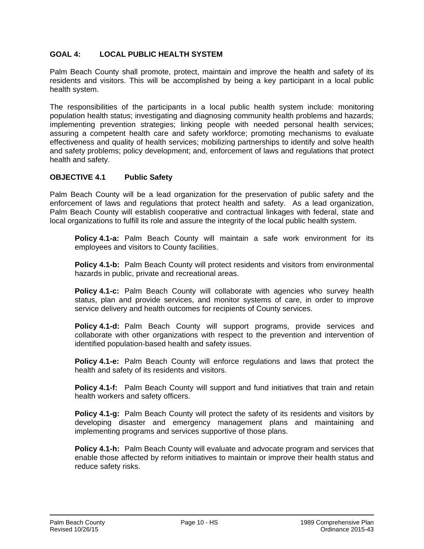# **GOAL 4: LOCAL PUBLIC HEALTH SYSTEM**

Palm Beach County shall promote, protect, maintain and improve the health and safety of its residents and visitors. This will be accomplished by being a key participant in a local public health system.

The responsibilities of the participants in a local public health system include: monitoring population health status; investigating and diagnosing community health problems and hazards; implementing prevention strategies; linking people with needed personal health services; assuring a competent health care and safety workforce; promoting mechanisms to evaluate effectiveness and quality of health services; mobilizing partnerships to identify and solve health and safety problems; policy development; and, enforcement of laws and regulations that protect health and safety.

#### **OBJECTIVE 4.1 Public Safety**

Palm Beach County will be a lead organization for the preservation of public safety and the enforcement of laws and regulations that protect health and safety. As a lead organization, Palm Beach County will establish cooperative and contractual linkages with federal, state and local organizations to fulfill its role and assure the integrity of the local public health system.

**Policy 4.1-a:** Palm Beach County will maintain a safe work environment for its employees and visitors to County facilities.

**Policy 4.1-b:** Palm Beach County will protect residents and visitors from environmental hazards in public, private and recreational areas.

**Policy 4.1-c:** Palm Beach County will collaborate with agencies who survey health status, plan and provide services, and monitor systems of care, in order to improve service delivery and health outcomes for recipients of County services.

**Policy 4.1-d:** Palm Beach County will support programs, provide services and collaborate with other organizations with respect to the prevention and intervention of identified population-based health and safety issues.

**Policy 4.1-e:** Palm Beach County will enforce regulations and laws that protect the health and safety of its residents and visitors.

**Policy 4.1-f:** Palm Beach County will support and fund initiatives that train and retain health workers and safety officers.

**Policy 4.1-g:** Palm Beach County will protect the safety of its residents and visitors by developing disaster and emergency management plans and maintaining and implementing programs and services supportive of those plans.

**Policy 4.1-h:** Palm Beach County will evaluate and advocate program and services that enable those affected by reform initiatives to maintain or improve their health status and reduce safety risks.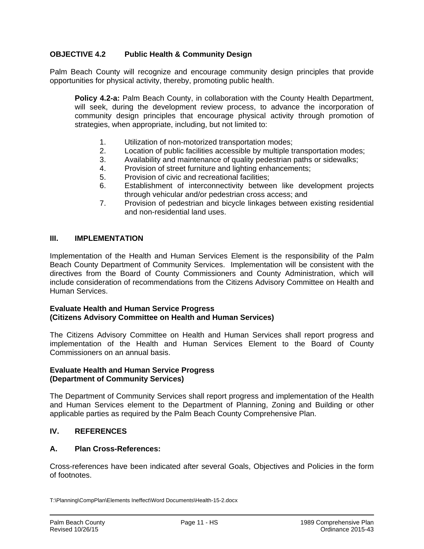# **OBJECTIVE 4.2 Public Health & Community Design**

Palm Beach County will recognize and encourage community design principles that provide opportunities for physical activity, thereby, promoting public health.

**Policy 4.2-a:** Palm Beach County, in collaboration with the County Health Department, will seek, during the development review process, to advance the incorporation of community design principles that encourage physical activity through promotion of strategies, when appropriate, including, but not limited to:

- 1. Utilization of non-motorized transportation modes;
- 2. Location of public facilities accessible by multiple transportation modes;
- 3. Availability and maintenance of quality pedestrian paths or sidewalks;
- 4. Provision of street furniture and lighting enhancements;
- 5. Provision of civic and recreational facilities;
- 6. Establishment of interconnectivity between like development projects through vehicular and/or pedestrian cross access; and
- 7. Provision of pedestrian and bicycle linkages between existing residential and non-residential land uses.

#### **III. IMPLEMENTATION**

Implementation of the Health and Human Services Element is the responsibility of the Palm Beach County Department of Community Services. Implementation will be consistent with the directives from the Board of County Commissioners and County Administration, which will include consideration of recommendations from the Citizens Advisory Committee on Health and Human Services.

#### **Evaluate Health and Human Service Progress (Citizens Advisory Committee on Health and Human Services)**

The Citizens Advisory Committee on Health and Human Services shall report progress and implementation of the Health and Human Services Element to the Board of County Commissioners on an annual basis.

#### **Evaluate Health and Human Service Progress (Department of Community Services)**

The Department of Community Services shall report progress and implementation of the Health and Human Services element to the Department of Planning, Zoning and Building or other applicable parties as required by the Palm Beach County Comprehensive Plan.

# **IV. REFERENCES**

#### **A. Plan Cross-References:**

Cross-references have been indicated after several Goals, Objectives and Policies in the form of footnotes.

T:\Planning\CompPlan\Elements Ineffect\Word Documents\Health-15-2.docx